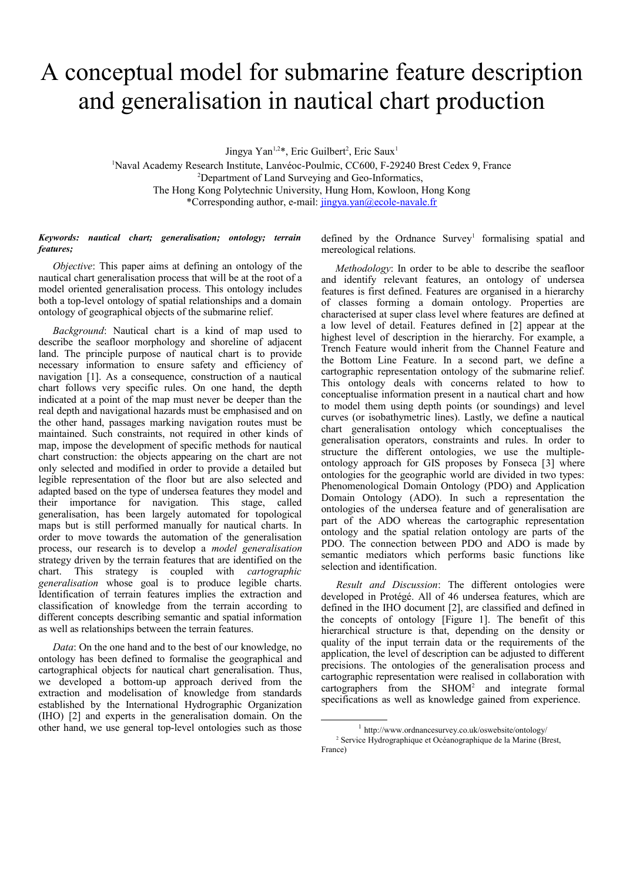# A conceptual model for submarine feature description and generalisation in nautical chart production

Jingya Yan<sup>1,2\*</sup>, Eric Guilbert<sup>2</sup>, Eric Saux<sup>1</sup>

<sup>1</sup>Naval Academy Research Institute, Lanvéoc-Poulmic, CC600, F-29240 Brest Cedex 9, France <sup>2</sup>Department of Land Surveying and Geo-Informatics, The Hong Kong Polytechnic University, Hung Hom, Kowloon, Hong Kong \*Corresponding author, e-mail: [jingya.yan@ecole-navale.fr](mailto:xun.shi@dartmouth.edu)

## *Keywords: nautical chart; generalisation; ontology; terrain features;*

defined by the Ordnance Survey<sup>[1](#page-0-0)</sup> formalising spatial and mereological relations.

*Objective*: This paper aims at defining an ontology of the nautical chart generalisation process that will be at the root of a model oriented generalisation process. This ontology includes both a top-level ontology of spatial relationships and a domain ontology of geographical objects of the submarine relief.

*Background*: Nautical chart is a kind of map used to describe the seafloor morphology and shoreline of adjacent land. The principle purpose of nautical chart is to provide necessary information to ensure safety and efficiency of navigation [1]. As a consequence, construction of a nautical chart follows very specific rules. On one hand, the depth indicated at a point of the map must never be deeper than the real depth and navigational hazards must be emphasised and on the other hand, passages marking navigation routes must be maintained. Such constraints, not required in other kinds of map, impose the development of specific methods for nautical chart construction: the objects appearing on the chart are not only selected and modified in order to provide a detailed but legible representation of the floor but are also selected and adapted based on the type of undersea features they model and their importance for navigation. This stage, called generalisation, has been largely automated for topological maps but is still performed manually for nautical charts. In order to move towards the automation of the generalisation process, our research is to develop a *model generalisation* strategy driven by the terrain features that are identified on the chart. This strategy is coupled with *cartographic generalisation* whose goal is to produce legible charts. Identification of terrain features implies the extraction and classification of knowledge from the terrain according to different concepts describing semantic and spatial information as well as relationships between the terrain features.

*Data*: On the one hand and to the best of our knowledge, no ontology has been defined to formalise the geographical and cartographical objects for nautical chart generalisation. Thus, we developed a bottom-up approach derived from the extraction and modelisation of knowledge from standards established by the International Hydrographic Organization (IHO) [2] and experts in the generalisation domain. On the other hand, we use general top-level ontologies such as those

*Methodology*: In order to be able to describe the seafloor and identify relevant features, an ontology of undersea features is first defined. Features are organised in a hierarchy of classes forming a domain ontology. Properties are characterised at super class level where features are defined at a low level of detail. Features defined in [2] appear at the highest level of description in the hierarchy. For example, a Trench Feature would inherit from the Channel Feature and the Bottom Line Feature. In a second part, we define a cartographic representation ontology of the submarine relief. This ontology deals with concerns related to how to conceptualise information present in a nautical chart and how to model them using depth points (or soundings) and level curves (or isobathymetric lines). Lastly, we define a nautical chart generalisation ontology which conceptualises the generalisation operators, constraints and rules. In order to structure the different ontologies, we use the multipleontology approach for GIS proposes by Fonseca [3] where ontologies for the geographic world are divided in two types: Phenomenological Domain Ontology (PDO) and Application Domain Ontology (ADO). In such a representation the ontologies of the undersea feature and of generalisation are part of the ADO whereas the cartographic representation ontology and the spatial relation ontology are parts of the PDO. The connection between PDO and ADO is made by semantic mediators which performs basic functions like selection and identification.

*Result and Discussion*: The different ontologies were developed in Protégé. All of 46 undersea features, which are defined in the IHO document [2], are classified and defined in the concepts of ontology [Figure 1]. The benefit of this hierarchical structure is that, depending on the density or quality of the input terrain data or the requirements of the application, the level of description can be adjusted to different precisions. The ontologies of the generalisation process and cartographic representation were realised in collaboration with cartographers from the  $SHOM<sup>2</sup>$  $SHOM<sup>2</sup>$  $SHOM<sup>2</sup>$  and integrate formal specifications as well as knowledge gained from experience.

<span id="page-0-1"></span><span id="page-0-0"></span><sup>1</sup> http://www.ordnancesurvey.co.uk/oswebsite/ontology/

<sup>2</sup> Service Hydrographique et Océanographique de la Marine (Brest, France)